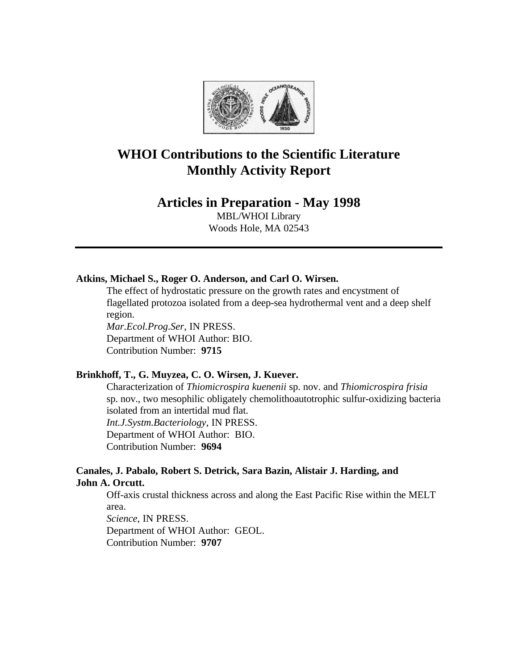

# **WHOI Contributions to the Scientific Literature Monthly Activity Report**

## **Articles in Preparation - May 1998**

MBL/WHOI Library Woods Hole, MA 02543

## **Atkins, Michael S., Roger O. Anderson, and Carl O. Wirsen.**

The effect of hydrostatic pressure on the growth rates and encystment of flagellated protozoa isolated from a deep-sea hydrothermal vent and a deep shelf region.

*Mar.Ecol.Prog.Ser*, IN PRESS. Department of WHOI Author: BIO. Contribution Number: **9715**

#### **Brinkhoff, T., G. Muyzea, C. O. Wirsen, J. Kuever.**

Characterization of *Thiomicrospira kuenenii* sp. nov. and *Thiomicrospira frisia* sp. nov., two mesophilic obligately chemolithoautotrophic sulfur-oxidizing bacteria isolated from an intertidal mud flat. *Int.J.Systm.Bacteriology*, IN PRESS. Department of WHOI Author: BIO. Contribution Number: **9694**

#### **Canales, J. Pabalo, Robert S. Detrick, Sara Bazin, Alistair J. Harding, and John A. Orcutt.**

Off-axis crustal thickness across and along the East Pacific Rise within the MELT area.

*Science*, IN PRESS. Department of WHOI Author: GEOL. Contribution Number: **9707**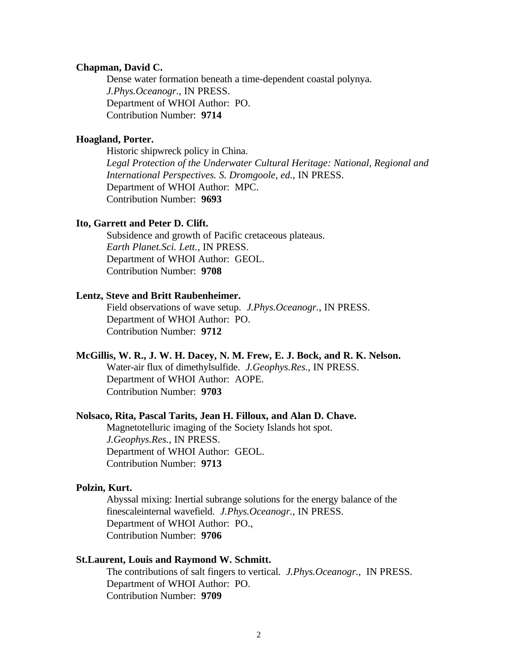#### **Chapman, David C.**

Dense water formation beneath a time-dependent coastal polynya. *J.Phys.Oceanogr.*, IN PRESS. Department of WHOI Author: PO. Contribution Number: **9714**

#### **Hoagland, Porter.**

Historic shipwreck policy in China. *Legal Protection of the Underwater Cultural Heritage: National, Regional and International Perspectives. S. Dromgoole, ed.*, IN PRESS. Department of WHOI Author: MPC. Contribution Number: **9693**

#### **Ito, Garrett and Peter D. Clift.**

Subsidence and growth of Pacific cretaceous plateaus. *Earth Planet.Sci. Lett.*, IN PRESS. Department of WHOI Author: GEOL. Contribution Number: **9708**

#### **Lentz, Steve and Britt Raubenheimer.**

Field observations of wave setup. *J.Phys.Oceanogr.*, IN PRESS. Department of WHOI Author: PO. Contribution Number: **9712**

#### **McGillis, W. R., J. W. H. Dacey, N. M. Frew, E. J. Bock, and R. K. Nelson.**

Water-air flux of dimethylsulfide. *J.Geophys.Res.*, IN PRESS. Department of WHOI Author: AOPE. Contribution Number: **9703**

#### **Nolsaco, Rita, Pascal Tarits, Jean H. Filloux, and Alan D. Chave.**

Magnetotelluric imaging of the Society Islands hot spot. *J.Geophys.Res.*, IN PRESS. Department of WHOI Author: GEOL. Contribution Number: **9713**

#### **Polzin, Kurt.**

Abyssal mixing: Inertial subrange solutions for the energy balance of the finescaleinternal wavefield. *J.Phys.Oceanogr.*, IN PRESS. Department of WHOI Author: PO., Contribution Number: **9706**

### **St.Laurent, Louis and Raymond W. Schmitt.**

The contributions of salt fingers to vertical. *J.Phys.Oceanogr.*, IN PRESS. Department of WHOI Author: PO. Contribution Number: **9709**